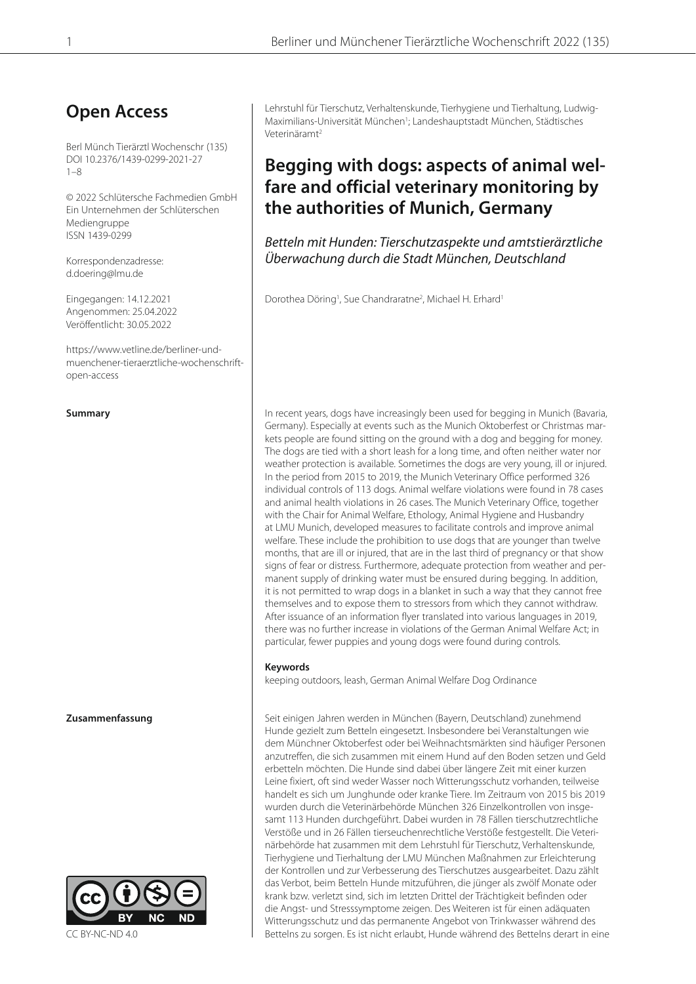# **Open Access**

Berl Münch Tierärztl Wochenschr (135) DOI 10.2376/1439-0299-2021-27  $1 - 8$ 

© 2022 Schlütersche Fachmedien GmbH Ein Unternehmen der Schlüterschen Mediengruppe ISSN 1439-0299

Korrespondenzadresse: d.doering@lmu.de

Eingegangen: 14.12.2021 Angenommen: 25.04.2022 Veröffentlicht: 30.05.2022

https://www.vetline.de/berliner-undmuenchener-tieraerztliche-wochenschriftopen-access



Lehrstuhl für Tierschutz, Verhaltenskunde, Tierhygiene und Tierhaltung, Ludwig-Maximilians-Universität München<sup>1</sup>; Landeshauptstadt München, Städtisches Veterinäramt2

# **Begging with dogs: aspects of animal welfare and official veterinary monitoring by the authorities of Munich, Germany**

Betteln mit Hunden: Tierschutzaspekte und amtstierärztliche Überwachung durch die Stadt München, Deutschland

Dorothea Döring<sup>1</sup>, Sue Chandraratne<sup>2</sup>, Michael H. Erhard<sup>1</sup>

**Summary In recent years, dogs have increasingly been used for begging in Munich (Bavaria,** Germany). Especially at events such as the Munich Oktoberfest or Christmas markets people are found sitting on the ground with a dog and begging for money. The dogs are tied with a short leash for a long time, and often neither water nor weather protection is available. Sometimes the dogs are very young, ill or injured. In the period from 2015 to 2019, the Munich Veterinary Office performed 326 individual controls of 113 dogs. Animal welfare violations were found in 78 cases and animal health violations in 26 cases. The Munich Veterinary Office, together with the Chair for Animal Welfare, Ethology, Animal Hygiene and Husbandry at LMU Munich, developed measures to facilitate controls and improve animal welfare. These include the prohibition to use dogs that are younger than twelve months, that are ill or injured, that are in the last third of pregnancy or that show signs of fear or distress. Furthermore, adequate protection from weather and permanent supply of drinking water must be ensured during begging. In addition, it is not permitted to wrap dogs in a blanket in such a way that they cannot free themselves and to expose them to stressors from which they cannot withdraw. After issuance of an information flyer translated into various languages in 2019, there was no further increase in violations of the German Animal Welfare Act; in particular, fewer puppies and young dogs were found during controls.

### **Keywords**

keeping outdoors, leash, German Animal Welfare Dog Ordinance

**Zusammenfassung** Seit einigen Jahren werden in München (Bayern, Deutschland) zunehmend Hunde gezielt zum Betteln eingesetzt. Insbesondere bei Veranstaltungen wie dem Münchner Oktoberfest oder bei Weihnachtsmärkten sind häufiger Personen anzutreffen, die sich zusammen mit einem Hund auf den Boden setzen und Geld erbetteln möchten. Die Hunde sind dabei über längere Zeit mit einer kurzen Leine fixiert, oft sind weder Wasser noch Witterungsschutz vorhanden, teilweise handelt es sich um Junghunde oder kranke Tiere. Im Zeitraum von 2015 bis 2019 wurden durch die Veterinärbehörde München 326 Einzelkontrollen von insgesamt 113 Hunden durchgeführt. Dabei wurden in 78 Fällen tierschutzrechtliche Verstöße und in 26 Fällen tierseuchenrechtliche Verstöße festgestellt. Die Veterinärbehörde hat zusammen mit dem Lehrstuhl für Tierschutz, Verhaltenskunde, Tierhygiene und Tierhaltung der LMU München Maßnahmen zur Erleichterung der Kontrollen und zur Verbesserung des Tierschutzes ausgearbeitet. Dazu zählt das Verbot, beim Betteln Hunde mitzuführen, die jünger als zwölf Monate oder krank bzw. verletzt sind, sich im letzten Drittel der Trächtigkeit befinden oder die Angst- und Stresssymptome zeigen. Des Weiteren ist für einen adäquaten Witterungsschutz und das permanente Angebot von Trinkwasser während des Bettelns zu sorgen. Es ist nicht erlaubt, Hunde während des Bettelns derart in eine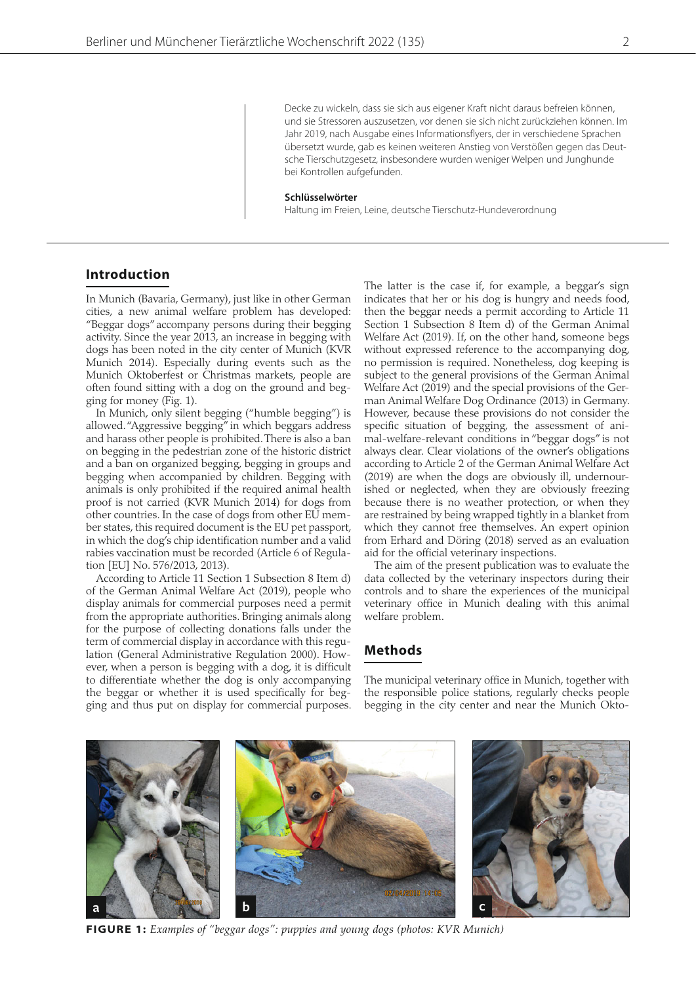Decke zu wickeln, dass sie sich aus eigener Kraft nicht daraus befreien können, und sie Stressoren auszusetzen, vor denen sie sich nicht zurückziehen können. Im Jahr 2019, nach Ausgabe eines Informationsflyers, der in verschiedene Sprachen übersetzt wurde, gab es keinen weiteren Anstieg von Verstößen gegen das Deutsche Tierschutzgesetz, insbesondere wurden weniger Welpen und Junghunde bei Kontrollen aufgefunden.

#### **Schlüsselwörter**

Haltung im Freien, Leine, deutsche Tierschutz-Hundeverordnung

# **Introduction**

In Munich (Bavaria, Germany), just like in other German cities, a new animal welfare problem has developed: "Beggar dogs" accompany persons during their begging activity. Since the year 2013, an increase in begging with dogs has been noted in the city center of Munich (KVR Munich 2014). Especially during events such as the Munich Oktoberfest or Christmas markets, people are often found sitting with a dog on the ground and begging for money (Fig. 1).

In Munich, only silent begging ("humble begging") is allowed. "Aggressive begging" in which beggars address and harass other people is prohibited. There is also a ban on begging in the pedestrian zone of the historic district and a ban on organized begging, begging in groups and begging when accompanied by children. Begging with animals is only prohibited if the required animal health proof is not carried (KVR Munich 2014) for dogs from other countries. In the case of dogs from other EU member states, this required document is the EU pet passport, in which the dog's chip identification number and a valid rabies vaccination must be recorded (Article 6 of Regulation [EU] No. 576/2013, 2013).

According to Article 11 Section 1 Subsection 8 Item d) of the German Animal Welfare Act (2019), people who display animals for commercial purposes need a permit from the appropriate authorities. Bringing animals along for the purpose of collecting donations falls under the term of commercial display in accordance with this regulation (General Administrative Regulation 2000). However, when a person is begging with a dog, it is difficult to differentiate whether the dog is only accompanying the beggar or whether it is used specifically for begging and thus put on display for commercial purposes.

The latter is the case if, for example, a beggar's sign indicates that her or his dog is hungry and needs food, then the beggar needs a permit according to Article 11 Section 1 Subsection 8 Item d) of the German Animal Welfare Act (2019). If, on the other hand, someone begs without expressed reference to the accompanying dog, no permission is required. Nonetheless, dog keeping is subject to the general provisions of the German Animal Welfare Act (2019) and the special provisions of the German Animal Welfare Dog Ordinance (2013) in Germany. However, because these provisions do not consider the specific situation of begging, the assessment of animal-welfare-relevant conditions in "beggar dogs" is not always clear. Clear violations of the owner's obligations according to Article 2 of the German Animal Welfare Act (2019) are when the dogs are obviously ill, undernourished or neglected, when they are obviously freezing because there is no weather protection, or when they are restrained by being wrapped tightly in a blanket from which they cannot free themselves. An expert opinion from Erhard and Döring (2018) served as an evaluation aid for the official veterinary inspections.

The aim of the present publication was to evaluate the data collected by the veterinary inspectors during their controls and to share the experiences of the municipal veterinary office in Munich dealing with this animal welfare problem.

## **Methods**

The municipal veterinary office in Munich, together with the responsible police stations, regularly checks people begging in the city center and near the Munich Okto-



**FIGURE 1:** *Examples of "beggar dogs": puppies and young dogs (photos: KVR Munich)*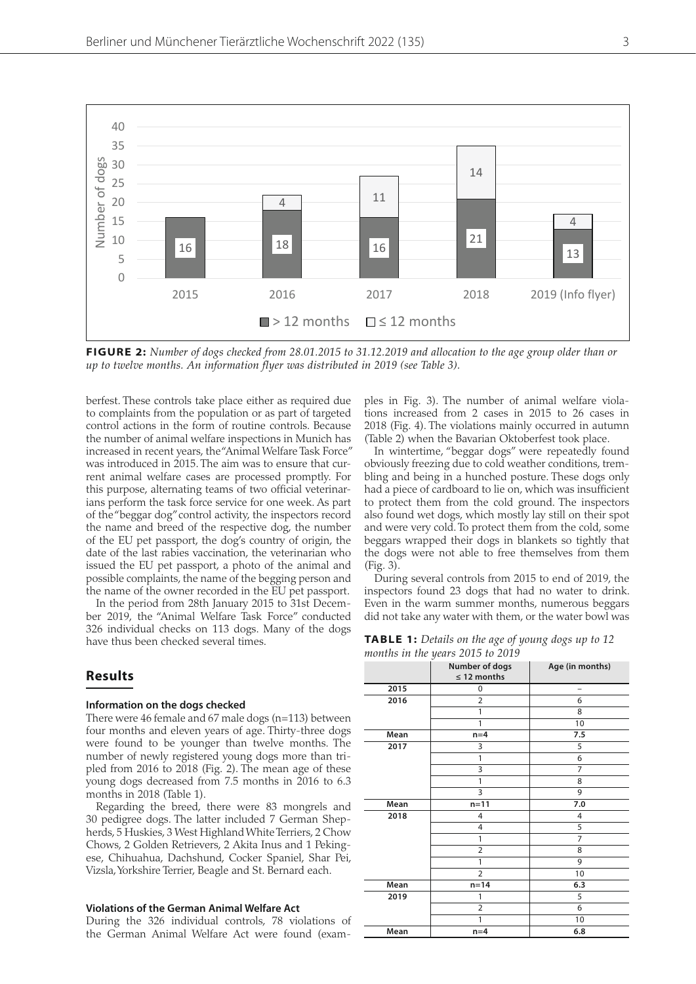

**FIGURE 2:** *Number of dogs checked from 28.01.2015 to 31.12.2019 and allocation to the age group older than or up to twelve months. An information flyer was distributed in 2019 (see Table 3).*

berfest. These controls take place either as required due to complaints from the population or as part of targeted control actions in the form of routine controls. Because the number of animal welfare inspections in Munich has increased in recent years, the "Animal Welfare Task Force" was introduced in 2015. The aim was to ensure that current animal welfare cases are processed promptly. For this purpose, alternating teams of two official veterinarians perform the task force service for one week. As part of the "beggar dog" control activity, the inspectors record the name and breed of the respective dog, the number of the EU pet passport, the dog's country of origin, the date of the last rabies vaccination, the veterinarian who issued the EU pet passport, a photo of the animal and possible complaints, the name of the begging person and the name of the owner recorded in the EU pet passport.

In the period from 28th January 2015 to 31st December 2019, the "Animal Welfare Task Force" conducted 326 individual checks on 113 dogs. Many of the dogs have thus been checked several times.

# **Results**

#### **Information on the dogs checked**

There were 46 female and 67 male dogs (n=113) between four months and eleven years of age. Thirty-three dogs were found to be younger than twelve months. The number of newly registered young dogs more than tripled from 2016 to 2018 (Fig. 2). The mean age of these young dogs decreased from 7.5 months in 2016 to 6.3 months in 2018 (Table 1).

Regarding the breed, there were 83 mongrels and 30 pedigree dogs. The latter included 7 German Shepherds, 5 Huskies, 3 West Highland White Terriers, 2 Chow Chows, 2 Golden Retrievers, 2 Akita Inus and 1 Pekingese, Chihuahua, Dachshund, Cocker Spaniel, Shar Pei, Vizsla, Yorkshire Terrier, Beagle and St. Bernard each.

#### **Violations of the German Animal Welfare Act**

During the 326 individual controls, 78 violations of the German Animal Welfare Act were found (examples in Fig. 3). The number of animal welfare violations increased from 2 cases in 2015 to 26 cases in 2018 (Fig. 4). The violations mainly occurred in autumn (Table 2) when the Bavarian Oktoberfest took place.

In wintertime, "beggar dogs" were repeatedly found obviously freezing due to cold weather conditions, trembling and being in a hunched posture. These dogs only had a piece of cardboard to lie on, which was insufficient to protect them from the cold ground. The inspectors also found wet dogs, which mostly lay still on their spot and were very cold. To protect them from the cold, some beggars wrapped their dogs in blankets so tightly that the dogs were not able to free themselves from them (Fig. 3).

During several controls from 2015 to end of 2019, the inspectors found 23 dogs that had no water to drink. Even in the warm summer months, numerous beggars did not take any water with them, or the water bowl was

| <b>TABLE 1:</b> Details on the age of young dogs up to 12 |  |
|-----------------------------------------------------------|--|
| months in the years 2015 to 2019                          |  |

|      | ◡<br>Number of dogs | Age (in months) |  |  |
|------|---------------------|-----------------|--|--|
|      | $\leq$ 12 months    |                 |  |  |
| 2015 | 0                   | -               |  |  |
| 2016 | $\overline{2}$      | 6               |  |  |
|      | 1                   | 8               |  |  |
|      | 1                   | 10              |  |  |
| Mean | $n=4$               | 7.5             |  |  |
| 2017 | 3                   | 5               |  |  |
|      | 1                   | 6               |  |  |
|      | 3                   | 7               |  |  |
|      | 1                   | 8               |  |  |
|      | 3                   | 9               |  |  |
| Mean | $n=11$              | 7.0             |  |  |
| 2018 | 4                   | 4               |  |  |
|      | 4                   | 5               |  |  |
|      | 1                   | 7               |  |  |
|      | $\overline{2}$      | 8               |  |  |
|      | 1                   | 9               |  |  |
|      | $\overline{2}$      | 10              |  |  |
| Mean | $n=14$              | 6.3             |  |  |
| 2019 | 1                   | 5               |  |  |
|      | $\overline{2}$      | 6               |  |  |
|      | 1                   | 10              |  |  |
| Mean | $n=4$               | 6.8             |  |  |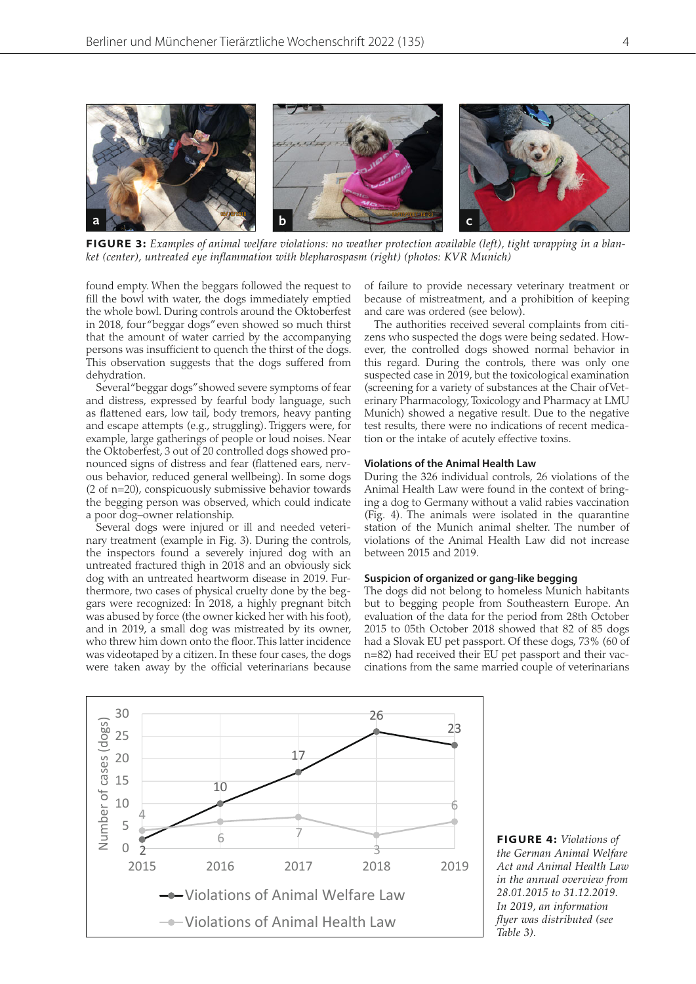

**FIGURE 3:** *Examples of animal welfare violations: no weather protection available (left), tight wrapping in a blanket (center), untreated eye inflammation with blepharospasm (right) (photos: KVR Munich)*

found empty. When the beggars followed the request to fill the bowl with water, the dogs immediately emptied the whole bowl. During controls around the Oktoberfest in 2018, four "beggar dogs" even showed so much thirst that the amount of water carried by the accompanying persons was insufficient to quench the thirst of the dogs. This observation suggests that the dogs suffered from dehydration.

Several "beggar dogs" showed severe symptoms of fear and distress, expressed by fearful body language, such as flattened ears, low tail, body tremors, heavy panting and escape attempts (e.g., struggling). Triggers were, for example, large gatherings of people or loud noises. Near the Oktoberfest, 3 out of 20 controlled dogs showed pronounced signs of distress and fear (flattened ears, nervous behavior, reduced general wellbeing). In some dogs (2 of n=20), conspicuously submissive behavior towards the begging person was observed, which could indicate a poor dog–owner relationship.

Several dogs were injured or ill and needed veterinary treatment (example in Fig. 3). During the controls, the inspectors found a severely injured dog with an untreated fractured thigh in 2018 and an obviously sick dog with an untreated heartworm disease in 2019. Furthermore, two cases of physical cruelty done by the beggars were recognized: In 2018, a highly pregnant bitch was abused by force (the owner kicked her with his foot), and in 2019, a small dog was mistreated by its owner, who threw him down onto the floor. This latter incidence was videotaped by a citizen. In these four cases, the dogs were taken away by the official veterinarians because

of failure to provide necessary veterinary treatment or because of mistreatment, and a prohibition of keeping and care was ordered (see below).

The authorities received several complaints from citizens who suspected the dogs were being sedated. However, the controlled dogs showed normal behavior in this regard. During the controls, there was only one suspected case in 2019, but the toxicological examination (screening for a variety of substances at the Chair of Veterinary Pharmacology, Toxicology and Pharmacy at LMU Munich) showed a negative result. Due to the negative test results, there were no indications of recent medication or the intake of acutely effective toxins.

#### **Violations of the Animal Health Law**

During the 326 individual controls, 26 violations of the Animal Health Law were found in the context of bringing a dog to Germany without a valid rabies vaccination (Fig. 4). The animals were isolated in the quarantine station of the Munich animal shelter. The number of violations of the Animal Health Law did not increase between 2015 and 2019.

# **Suspicion of organized or gang-like begging**

The dogs did not belong to homeless Munich habitants but to begging people from Southeastern Europe. An evaluation of the data for the period from 28th October 2015 to 05th October 2018 showed that 82 of 85 dogs had a Slovak EU pet passport. Of these dogs, 73% (60 of n=82) had received their EU pet passport and their vaccinations from the same married couple of veterinarians



**FIGURE 4:** *Violations of the German Animal Welfare Act and Animal Health Law in the annual overview from 28.01.2015 to 31.12.2019. In 2019, an information flyer was distributed (see Table 3).*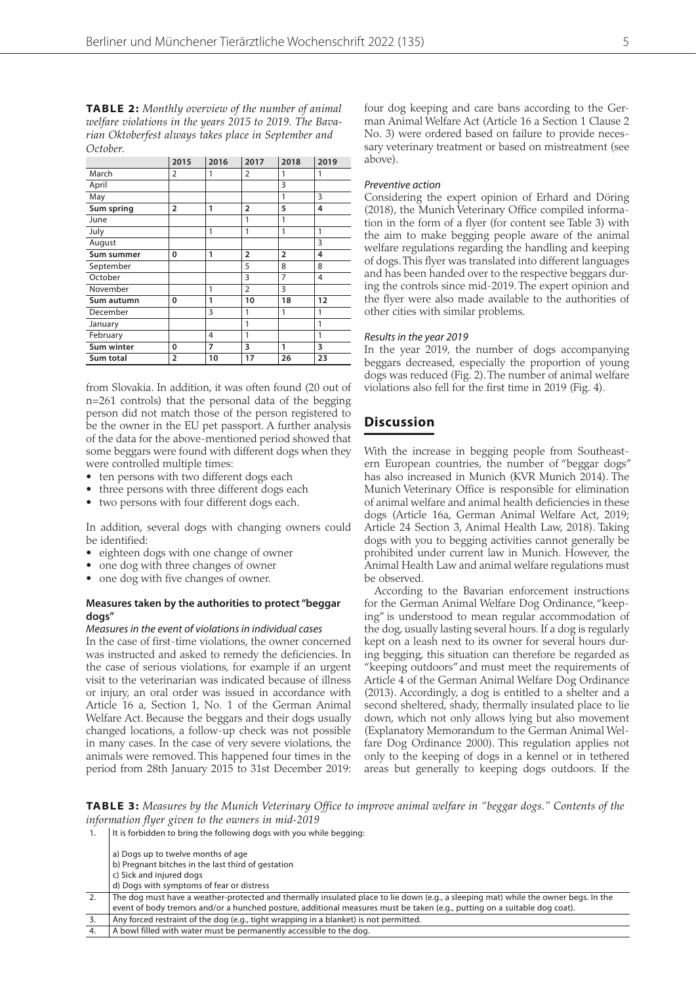**TABLE 2:** *Monthly overview of the number of animal welfare violations in the years 2015 to 2019. The Bavarian Oktoberfest always takes place in September and October.*

|            | 2015           | 2016 | 2017           | 2018           | 2019 |
|------------|----------------|------|----------------|----------------|------|
| March      | 2              | 1    | 2              | 1              | 1    |
| April      |                |      |                | 3              |      |
| May        |                |      |                | 1              | 3    |
| Sum spring | $\overline{2}$ | 1    | $\overline{2}$ | 5              | 4    |
| June       |                |      | 1              | 1              |      |
| July       |                | 1    | 1              | 1              | 1    |
| August     |                |      |                |                | 3    |
| Sum summer | 0              | 1    | $\overline{2}$ | $\overline{2}$ | 4    |
| September  |                |      | 5              | 8              | 8    |
| October    |                |      | 3              | 7              | 4    |
| November   |                | 1    | $\overline{2}$ | 3              |      |
| Sum autumn | 0              | 1    | 10             | 18             | 12   |
| December   |                | 3    | 1              | 1              | 1    |
| January    |                |      | 1              |                | 1    |
| February   |                | 4    | 1              |                | 1    |
| Sum winter | 0              | 7    | 3              | 1              | 3    |
| Sum total  | $\overline{2}$ | 10   | 17             | 26             | 23   |

from Slovakia. In addition, it was often found (20 out of n=261 controls) that the personal data of the begging person did not match those of the person registered to be the owner in the EU pet passport. A further analysis of the data for the above-mentioned period showed that some beggars were found with different dogs when they were controlled multiple times:

- ten persons with two different dogs each
- three persons with three different dogs each
- two persons with four different dogs each.

In addition, several dogs with changing owners could be identified:

- eighteen dogs with one change of owner
- one dog with three changes of owner
- one dog with five changes of owner.

#### **Measures taken by the authorities to protect "beggar dogs"**

#### Measures in the event of violations in individual cases

In the case of first-time violations, the owner concerned was instructed and asked to remedy the deficiencies. In the case of serious violations, for example if an urgent visit to the veterinarian was indicated because of illness or injury, an oral order was issued in accordance with Article 16 a, Section 1, No. 1 of the German Animal Welfare Act. Because the beggars and their dogs usually changed locations, a follow-up check was not possible in many cases. In the case of very severe violations, the animals were removed. This happened four times in the period from 28th January 2015 to 31st December 2019: four dog keeping and care bans according to the German Animal Welfare Act (Article 16 a Section 1 Clause 2 No. 3) were ordered based on failure to provide necessary veterinary treatment or based on mistreatment (see above).

#### Preventive action

Considering the expert opinion of Erhard and Döring (2018), the Munich Veterinary Office compiled information in the form of a flyer (for content see Table 3) with the aim to make begging people aware of the animal welfare regulations regarding the handling and keeping of dogs. This flyer was translated into different languages and has been handed over to the respective beggars during the controls since mid-2019. The expert opinion and the flyer were also made available to the authorities of other cities with similar problems.

#### Results in the year 2019

In the year 2019, the number of dogs accompanying beggars decreased, especially the proportion of young dogs was reduced (Fig. 2). The number of animal welfare violations also fell for the first time in 2019 (Fig. 4).

# **Discussion**

With the increase in begging people from Southeastern European countries, the number of "beggar dogs" has also increased in Munich (KVR Munich 2014). The Munich Veterinary Office is responsible for elimination of animal welfare and animal health deficiencies in these dogs (Article 16a, German Animal Welfare Act, 2019; Article 24 Section 3, Animal Health Law, 2018). Taking dogs with you to begging activities cannot generally be prohibited under current law in Munich. However, the Animal Health Law and animal welfare regulations must be observed.

According to the Bavarian enforcement instructions for the German Animal Welfare Dog Ordinance, "keeping" is understood to mean regular accommodation of the dog, usually lasting several hours. If a dog is regularly kept on a leash next to its owner for several hours during begging, this situation can therefore be regarded as "keeping outdoors" and must meet the requirements of Article 4 of the German Animal Welfare Dog Ordinance (2013). Accordingly, a dog is entitled to a shelter and a second sheltered, shady, thermally insulated place to lie down, which not only allows lying but also movement (Explanatory Memorandum to the German Animal Welfare Dog Ordinance 2000). This regulation applies not only to the keeping of dogs in a kennel or in tethered areas but generally to keeping dogs outdoors. If the

**TABLE 3:** *Measures by the Munich Veterinary Office to improve animal welfare in "beggar dogs." Contents of the information flyer given to the owners in mid-2019*

- b) Pregnant bitches in the last third of gestation
- c) Sick and injured dogs
- d) Dogs with symptoms of fear or distress
- 2. The dog must have a weather-protected and thermally insulated place to lie down (e.g., a sleeping mat) while the owner begs. In the event of body tremors and/or a hunched posture, additional measures must be taken (e.g., putting on a suitable dog coat). Any forced restraint of the dog (e.g., tight wrapping in a blanket) is not permitted.
- 4. A bowl filled with water must be permanently accessible to the dog.

<sup>1.</sup> It is forbidden to bring the following dogs with you while begging:

a) Dogs up to twelve months of age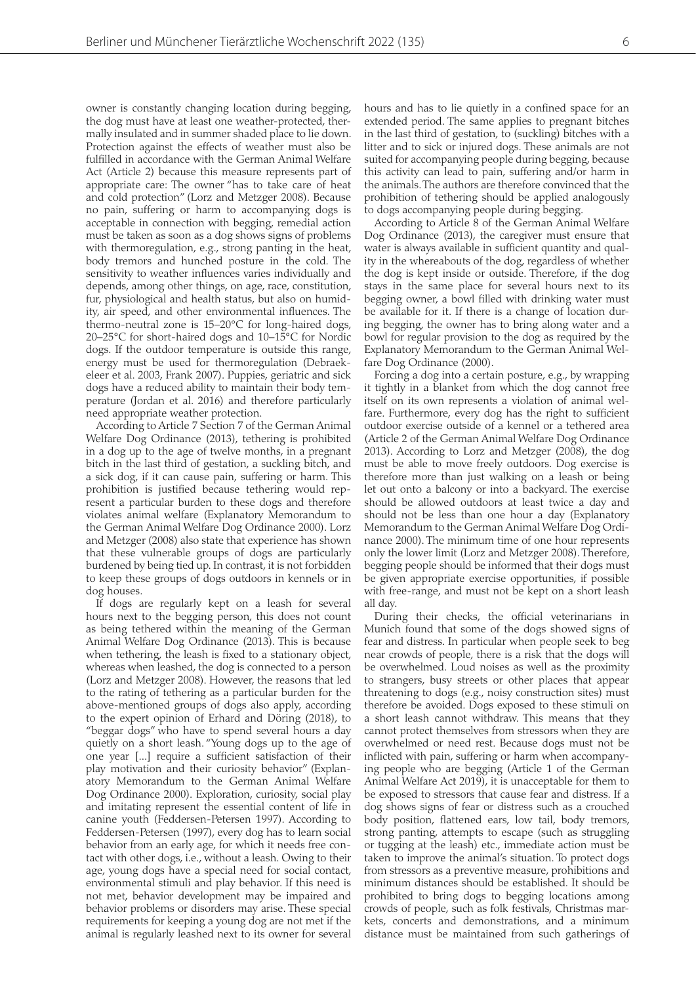owner is constantly changing location during begging, the dog must have at least one weather-protected, thermally insulated and in summer shaded place to lie down. Protection against the effects of weather must also be fulfilled in accordance with the German Animal Welfare Act (Article 2) because this measure represents part of appropriate care: The owner "has to take care of heat and cold protection" (Lorz and Metzger 2008). Because no pain, suffering or harm to accompanying dogs is acceptable in connection with begging, remedial action must be taken as soon as a dog shows signs of problems with thermoregulation, e.g., strong panting in the heat, body tremors and hunched posture in the cold. The sensitivity to weather influences varies individually and depends, among other things, on age, race, constitution, fur, physiological and health status, but also on humidity, air speed, and other environmental influences. The thermo-neutral zone is 15–20°C for long-haired dogs, 20–25°C for short-haired dogs and 10–15°C for Nordic dogs. If the outdoor temperature is outside this range, energy must be used for thermoregulation (Debraekeleer et al. 2003, Frank 2007). Puppies, geriatric and sick dogs have a reduced ability to maintain their body temperature (Jordan et al. 2016) and therefore particularly need appropriate weather protection.

According to Article 7 Section 7 of the German Animal Welfare Dog Ordinance (2013), tethering is prohibited in a dog up to the age of twelve months, in a pregnant bitch in the last third of gestation, a suckling bitch, and a sick dog, if it can cause pain, suffering or harm. This prohibition is justified because tethering would represent a particular burden to these dogs and therefore violates animal welfare (Explanatory Memorandum to the German Animal Welfare Dog Ordinance 2000). Lorz and Metzger (2008) also state that experience has shown that these vulnerable groups of dogs are particularly burdened by being tied up. In contrast, it is not forbidden to keep these groups of dogs outdoors in kennels or in dog houses.

If dogs are regularly kept on a leash for several hours next to the begging person, this does not count as being tethered within the meaning of the German Animal Welfare Dog Ordinance (2013). This is because when tethering, the leash is fixed to a stationary object, whereas when leashed, the dog is connected to a person (Lorz and Metzger 2008). However, the reasons that led to the rating of tethering as a particular burden for the above-mentioned groups of dogs also apply, according to the expert opinion of Erhard and Döring (2018), to "beggar dogs" who have to spend several hours a day quietly on a short leash. "Young dogs up to the age of one year [...] require a sufficient satisfaction of their play motivation and their curiosity behavior" (Explanatory Memorandum to the German Animal Welfare Dog Ordinance 2000). Exploration, curiosity, social play and imitating represent the essential content of life in canine youth (Feddersen-Petersen 1997). According to Feddersen-Petersen (1997), every dog has to learn social behavior from an early age, for which it needs free contact with other dogs, i.e., without a leash. Owing to their age, young dogs have a special need for social contact, environmental stimuli and play behavior. If this need is not met, behavior development may be impaired and behavior problems or disorders may arise. These special requirements for keeping a young dog are not met if the animal is regularly leashed next to its owner for several

hours and has to lie quietly in a confined space for an extended period. The same applies to pregnant bitches in the last third of gestation, to (suckling) bitches with a litter and to sick or injured dogs. These animals are not suited for accompanying people during begging, because this activity can lead to pain, suffering and/or harm in the animals. The authors are therefore convinced that the prohibition of tethering should be applied analogously to dogs accompanying people during begging.

According to Article 8 of the German Animal Welfare Dog Ordinance (2013), the caregiver must ensure that water is always available in sufficient quantity and quality in the whereabouts of the dog, regardless of whether the dog is kept inside or outside. Therefore, if the dog stays in the same place for several hours next to its begging owner, a bowl filled with drinking water must be available for it. If there is a change of location during begging, the owner has to bring along water and a bowl for regular provision to the dog as required by the Explanatory Memorandum to the German Animal Welfare Dog Ordinance (2000).

Forcing a dog into a certain posture, e.g., by wrapping it tightly in a blanket from which the dog cannot free itself on its own represents a violation of animal welfare. Furthermore, every dog has the right to sufficient outdoor exercise outside of a kennel or a tethered area (Article 2 of the German Animal Welfare Dog Ordinance 2013). According to Lorz and Metzger (2008), the dog must be able to move freely outdoors. Dog exercise is therefore more than just walking on a leash or being let out onto a balcony or into a backyard. The exercise should be allowed outdoors at least twice a day and should not be less than one hour a day (Explanatory Memorandum to the German Animal Welfare Dog Ordinance 2000). The minimum time of one hour represents only the lower limit (Lorz and Metzger 2008). Therefore, begging people should be informed that their dogs must be given appropriate exercise opportunities, if possible with free-range, and must not be kept on a short leash all day.

During their checks, the official veterinarians in Munich found that some of the dogs showed signs of fear and distress. In particular when people seek to beg near crowds of people, there is a risk that the dogs will be overwhelmed. Loud noises as well as the proximity to strangers, busy streets or other places that appear threatening to dogs (e.g., noisy construction sites) must therefore be avoided. Dogs exposed to these stimuli on a short leash cannot withdraw. This means that they cannot protect themselves from stressors when they are overwhelmed or need rest. Because dogs must not be inflicted with pain, suffering or harm when accompanying people who are begging (Article 1 of the German Animal Welfare Act 2019), it is unacceptable for them to be exposed to stressors that cause fear and distress. If a dog shows signs of fear or distress such as a crouched body position, flattened ears, low tail, body tremors, strong panting, attempts to escape (such as struggling or tugging at the leash) etc., immediate action must be taken to improve the animal's situation. To protect dogs from stressors as a preventive measure, prohibitions and minimum distances should be established. It should be prohibited to bring dogs to begging locations among crowds of people, such as folk festivals, Christmas markets, concerts and demonstrations, and a minimum distance must be maintained from such gatherings of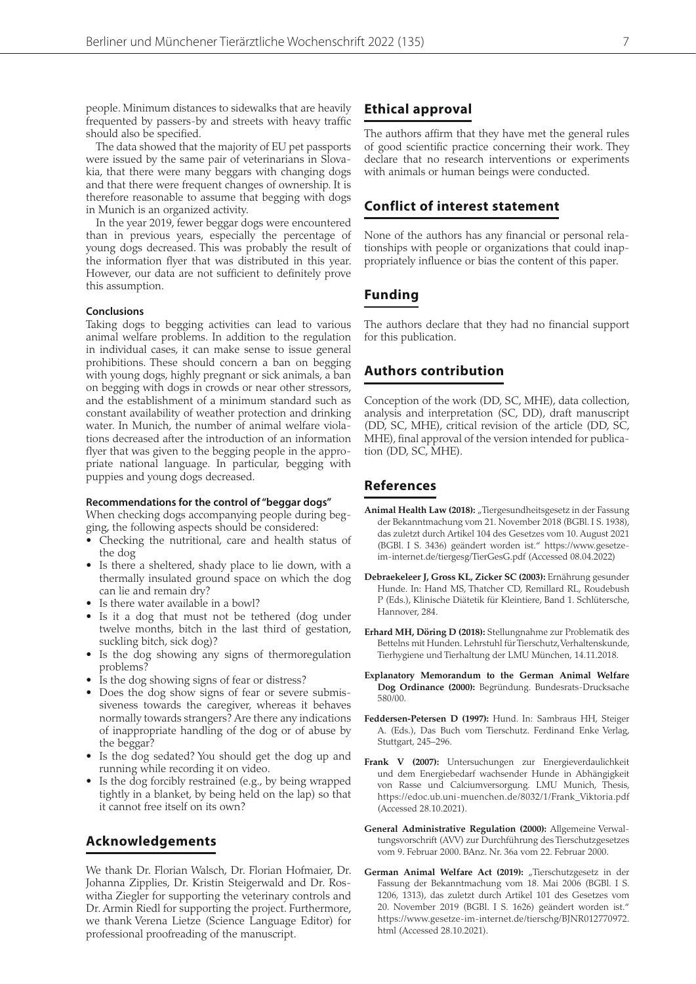people. Minimum distances to sidewalks that are heavily frequented by passers-by and streets with heavy traffic should also be specified.

The data showed that the majority of EU pet passports were issued by the same pair of veterinarians in Slovakia, that there were many beggars with changing dogs and that there were frequent changes of ownership. It is therefore reasonable to assume that begging with dogs in Munich is an organized activity.

In the year 2019, fewer beggar dogs were encountered than in previous years, especially the percentage of young dogs decreased. This was probably the result of the information flyer that was distributed in this year. However, our data are not sufficient to definitely prove this assumption.

#### **Conclusions**

Taking dogs to begging activities can lead to various animal welfare problems. In addition to the regulation in individual cases, it can make sense to issue general prohibitions. These should concern a ban on begging with young dogs, highly pregnant or sick animals, a ban on begging with dogs in crowds or near other stressors, and the establishment of a minimum standard such as constant availability of weather protection and drinking water. In Munich, the number of animal welfare violations decreased after the introduction of an information flyer that was given to the begging people in the appropriate national language. In particular, begging with puppies and young dogs decreased.

#### **Recommendations for the control of "beggar dogs"**

When checking dogs accompanying people during begging, the following aspects should be considered:

- Checking the nutritional, care and health status of the dog
- Is there a sheltered, shady place to lie down, with a thermally insulated ground space on which the dog can lie and remain dry?
- Is there water available in a bowl?
- Is it a dog that must not be tethered (dog under twelve months, bitch in the last third of gestation, suckling bitch, sick dog)?
- Is the dog showing any signs of thermoregulation problems?
- Is the dog showing signs of fear or distress?
- Does the dog show signs of fear or severe submissiveness towards the caregiver, whereas it behaves normally towards strangers? Are there any indications of inappropriate handling of the dog or of abuse by the beggar?
- Is the dog sedated? You should get the dog up and running while recording it on video.
- Is the dog forcibly restrained (e.g., by being wrapped tightly in a blanket, by being held on the lap) so that it cannot free itself on its own?

# **Acknowledgements**

We thank Dr. Florian Walsch, Dr. Florian Hofmaier, Dr. Johanna Zipplies, Dr. Kristin Steigerwald and Dr. Roswitha Ziegler for supporting the veterinary controls and Dr. Armin Riedl for supporting the project. Furthermore, we thank Verena Lietze (Science Language Editor) for professional proofreading of the manuscript.

# **Ethical approval**

The authors affirm that they have met the general rules of good scientific practice concerning their work. They declare that no research interventions or experiments with animals or human beings were conducted.

# **Conflict of interest statement**

None of the authors has any financial or personal relationships with people or organizations that could inappropriately influence or bias the content of this paper.

# **Funding**

The authors declare that they had no financial support for this publication.

# **Authors contribution**

Conception of the work (DD, SC, MHE), data collection, analysis and interpretation (SC, DD), draft manuscript (DD, SC, MHE), critical revision of the article (DD, SC, MHE), final approval of the version intended for publication (DD, SC, MHE).

# **References**

- Animal Health Law (2018): "Tiergesundheitsgesetz in der Fassung der Bekanntmachung vom 21. November 2018 (BGBl. I S. 1938), das zuletzt durch Artikel 104 des Gesetzes vom 10. August 2021 (BGBl. I S. 3436) geändert worden ist." https://www.gesetzeim-internet.de/tiergesg/TierGesG.pdf (Accessed 08.04.2022)
- **Debraekeleer J, Gross KL, Zicker SC (2003):** Ernährung gesunder Hunde. In: Hand MS, Thatcher CD, Remillard RL, Roudebush P (Eds.), Klinische Diätetik für Kleintiere, Band 1. Schlütersche, Hannover, 284.
- **Erhard MH, Döring D (2018):** Stellungnahme zur Problematik des Bettelns mit Hunden. Lehrstuhl für Tierschutz, Verhaltenskunde, Tierhygiene und Tierhaltung der LMU München, 14.11.2018.
- **Explanatory Memorandum to the German Animal Welfare Dog Ordinance (2000):** Begründung. Bundesrats-Drucksache 580/00.
- **Feddersen-Petersen D (1997):** Hund. In: Sambraus HH, Steiger A. (Eds.), Das Buch vom Tierschutz. Ferdinand Enke Verlag, Stuttgart, 245–296.
- **Frank V (2007):** Untersuchungen zur Energieverdaulichkeit und dem Energiebedarf wachsender Hunde in Abhängigkeit von Rasse und Calciumversorgung. LMU Munich, Thesis, https://edoc.ub.uni-muenchen.de/8032/1/Frank\_Viktoria.pdf (Accessed 28.10.2021).
- **General Administrative Regulation (2000):** Allgemeine Verwaltungsvorschrift (AVV) zur Durchführung des Tierschutzgesetzes vom 9. Februar 2000. BAnz. Nr. 36a vom 22. Februar 2000.
- German Animal Welfare Act (2019): "Tierschutzgesetz in der Fassung der Bekanntmachung vom 18. Mai 2006 (BGBl. I S. 1206, 1313), das zuletzt durch Artikel 101 des Gesetzes vom 20. November 2019 (BGBl. I S. 1626) geändert worden ist." https://www.gesetze-im-internet.de/tierschg/BJNR012770972. html (Accessed 28.10.2021).